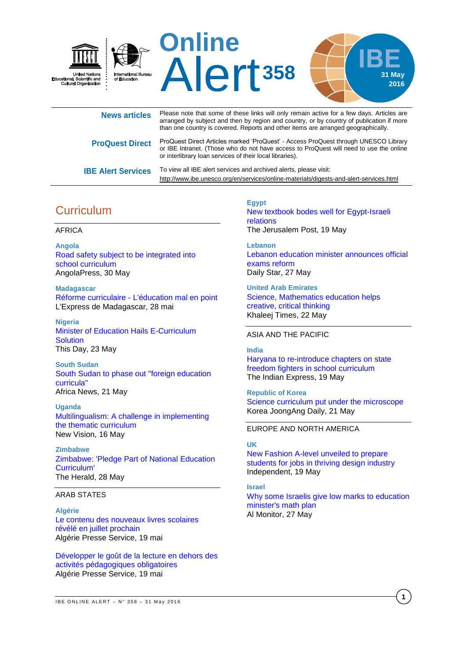

| <b>News articles</b>      | Please note that some of these links will only remain active for a few days. Articles are<br>arranged by subject and then by region and country, or by country of publication if more<br>than one country is covered. Reports and other items are arranged geographically. |
|---------------------------|----------------------------------------------------------------------------------------------------------------------------------------------------------------------------------------------------------------------------------------------------------------------------|
| <b>ProQuest Direct</b>    | ProQuest Direct Articles marked 'ProQuest' - Access ProQuest through UNESCO Library<br>or IBE Intranet. (Those who do not have access to ProQuest will need to use the online<br>or interlibrary loan services of their local libraries).                                  |
| <b>IBE Alert Services</b> | To view all IBE alert services and archived alerts, please visit:<br>http://www.ibe.unesco.org/en/services/online-materials/digests-and-alert-services.html                                                                                                                |

# **Curriculum**

### AFRICA

**Angola** [Road safety subject to be integrated into](http://www.portalangop.co.ao/angola/en_us/noticias/sociedade/2016/4/22/Road-safety-subject-integrated-into-school-curriculum,3e01834b-fcdf-488e-a91b-1ca0326096b5.html)  [school curriculum](http://www.portalangop.co.ao/angola/en_us/noticias/sociedade/2016/4/22/Road-safety-subject-integrated-into-school-curriculum,3e01834b-fcdf-488e-a91b-1ca0326096b5.html) AngolaPress, 30 May

**Madagascar** Réforme curriculaire - [L'éducation mal en point](http://fr.allafrica.com/stories/201605280366.html) L'Express de Madagascar, 28 mai

**Nigeria** [Minister of Education Hails E-Curriculum](http://allafrica.com/stories/201605230262.html)  **[Solution](http://allafrica.com/stories/201605230262.html)** This Day, 23 May

**South Sudan**  [South Sudan to phase out "foreign education](http://www.africanews.com/2016/05/21/south-sudan-to-phase-out-foreign-education-curricula/)  [curricula"](http://www.africanews.com/2016/05/21/south-sudan-to-phase-out-foreign-education-curricula/) Africa News, 21 May

**Uganda** [Multilingualism: A challenge in implementing](http://www.newvision.co.ug/new_vision/news/1424620/multilingualism-challenge-implementing-thematic-curriculum)  [the thematic curriculum](http://www.newvision.co.ug/new_vision/news/1424620/multilingualism-challenge-implementing-thematic-curriculum) New Vision, 16 May

**Zimbabwe** [Zimbabwe: 'Pledge Part of National Education](http://allafrica.com/stories/201605280097.html)  [Curriculum'](http://allafrica.com/stories/201605280097.html) The Herald, 28 May

### ARAB STATES

**Algérie**

[Le contenu des nouveaux livres scolaires](http://fr.allafrica.com/stories/201605200370.html)  [révélé en juillet prochain](http://fr.allafrica.com/stories/201605200370.html) Algérie Presse Service, 19 mai

[Développer le goût de la lecture en dehors des](http://fr.allafrica.com/stories/201605191415.html)  [activités pédagogiques obligatoires](http://fr.allafrica.com/stories/201605191415.html) Algérie Presse Service, 19 mai

**Egypt** [New textbook bodes well for Egypt-Israeli](http://www.jpost.com/Israel-News/New-Textbook-Bodes-Well-for-Egypt-Israeli-Relations-454413)  [relations](http://www.jpost.com/Israel-News/New-Textbook-Bodes-Well-for-Egypt-Israeli-Relations-454413) The Jerusalem Post, 19 May

**Lebanon** [Lebanon education minister announces official](http://www.dailystar.com.lb/News/Lebanon-News/2016/May-27/354035-lebanon-education-minister-announces-official-exams-reform.ashx)  [exams reform](http://www.dailystar.com.lb/News/Lebanon-News/2016/May-27/354035-lebanon-education-minister-announces-official-exams-reform.ashx) Daily Star, 27 May

**United Arab Emirates** [Science, Mathematics education helps](http://www.khaleejtimes.com/nation/education/science-mathematics-education-helps-creative-critical-thinking)  [creative, critical thinking](http://www.khaleejtimes.com/nation/education/science-mathematics-education-helps-creative-critical-thinking) Khaleej Times, 22 May

### ASIA AND THE PACIFIC

#### **India**

[Haryana to re-introduce chapters on](http://indianexpress.com/article/cities/chandigarh/haryana-to-re-introduce-chapters-on-state-freedom-fighters-in-school-curriculum/) state [freedom fighters in school](http://indianexpress.com/article/cities/chandigarh/haryana-to-re-introduce-chapters-on-state-freedom-fighters-in-school-curriculum/) curriculum The Indian Express, 19 May

**Republic of Korea** [Science curriculum put under the microscope](http://koreajoongangdaily.joins.com/news/article/article.aspx?aid=3018983) Korea JoongAng Daily, 21 May

#### EUROPE AND NORTH AMERICA

### **UK**

[New Fashion A-level unveiled to prepare](http://www.independent.co.uk/news/education/education-news/new-fashion-a-level-unveiled-to-prepare-students-for-jobs-in-thriving-design-industry-a7036546.html#gallery)  [students for jobs in thriving design industry](http://www.independent.co.uk/news/education/education-news/new-fashion-a-level-unveiled-to-prepare-students-for-jobs-in-thriving-design-industry-a7036546.html#gallery) Independent, 19 May

**Israel**

[Why some Israelis give low marks to education](http://www.al-monitor.com/pulse/originals/2016/05/israel-math-high-school-bennett-five-unit-start-up-nation-1.html)  [minister's math plan](http://www.al-monitor.com/pulse/originals/2016/05/israel-math-high-school-bennett-five-unit-start-up-nation-1.html) Al Monitor, 27 May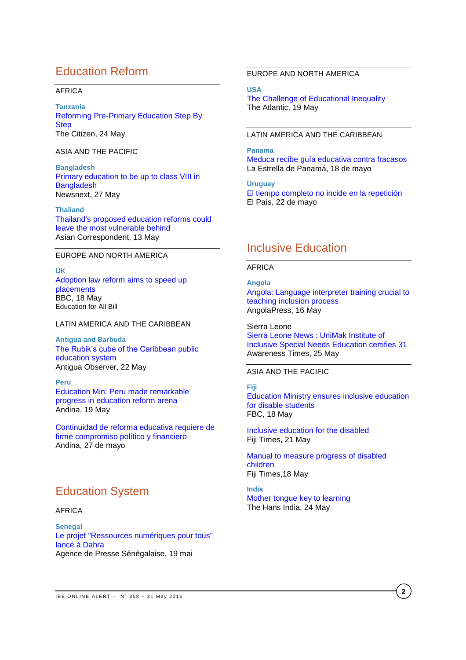# Education Reform

### AFRICA

**Tanzania** [Reforming Pre-Primary Education Step By](http://allafrica.com/stories/201605241178.html)  **[Step](http://allafrica.com/stories/201605241178.html)** The Citizen, 24 May

ASIA AND THE PACIFIC

**Bangladesh** [Primary education to be up to class VIII in](http://newsnextbd.com/primary-education-to-be-up-to-class-viii-in-bangladesh/)  **[Bangladesh](http://newsnextbd.com/primary-education-to-be-up-to-class-viii-in-bangladesh/)** Newsnext, 27 May

### **Thailand**

[Thailand's proposed education reforms could](https://asiancorrespondent.com/2016/05/thailand-education-reform/)  [leave the most vulnerable behind](https://asiancorrespondent.com/2016/05/thailand-education-reform/) Asian Correspondent, 13 May

### EUROPE AND NORTH AMERICA

**UK** [Adoption law reform aims to speed up](http://www.bbc.com/news/education-36321135)  [placements](http://www.bbc.com/news/education-36321135) BBC, 18 May Education for All Bill

### LATIN AMERICA AND THE CARIBBEAN

**Antigua and Barbuda** [The Rubik's cube of the Caribbean public](http://antiguaobserver.com/the-rubiks-cube-of-the-caribbean-public-education-system/)  [education system](http://antiguaobserver.com/the-rubiks-cube-of-the-caribbean-public-education-system/) Antigua Observer, 22 May

#### **Peru**

[Education Min: Peru made remarkable](http://www.andina.com.pe/Ingles/noticia-education-min-peru-made-remarkable-progress-in-education-reform-arena-613267.aspx)  [progress in education reform arena](http://www.andina.com.pe/Ingles/noticia-education-min-peru-made-remarkable-progress-in-education-reform-arena-613267.aspx) Andina, 19 May

[Continuidad de reforma educativa requiere de](http://www.andina.com.pe/agencia/noticia-continuidad-reforma-educativa-requiere-firme-compromiso-politico-y-financiero-614543.aspx)  [firme compromiso político y financiero](http://www.andina.com.pe/agencia/noticia-continuidad-reforma-educativa-requiere-firme-compromiso-politico-y-financiero-614543.aspx) Andina, 27 de mayo

## Education System

### AFRICA

**Senegal** [Le projet "Ressources numériques pour tous"](http://fr.allafrica.com/stories/201605200406.html)  [lancé à Dahra](http://fr.allafrica.com/stories/201605200406.html) Agence de Presse Sénégalaise, 19 mai

### EUROPE AND NORTH AMERICA

**USA** [The Challenge of Educational Inequality](http://www.theatlantic.com/education/archive/2016/05/education-inequality-takes-center-stage/483405/) The Atlantic, 19 May

### LATIN AMERICA AND THE CARIBBEAN

### **Panama**

[Meduca recibe guía educativa contra fracasos](http://laestrella.com.pa/panama/nacional/meduca-recibe-guia-educativa-contra-fracasos/23940658) La Estrella de Panamá, 18 de mayo

**Uruguay** [El tiempo completo no incide en la repetición](http://www.elpais.com.uy/informacion/completo-no-incide-indice-repeticion.html) El País, 22 de mayo

## Inclusive Education

### AFRICA

**Angola**

[Angola: Language interpreter training crucial to](http://www.portalangop.co.ao/angola/en_us/noticias/educacao/2016/4/20/Angola-Language-interpreter-training-crucial-teaching-inclusion-process,6e399935-6d1b-4b55-afdd-7a68871930ff.html)  [teaching inclusion process](http://www.portalangop.co.ao/angola/en_us/noticias/educacao/2016/4/20/Angola-Language-interpreter-training-crucial-teaching-inclusion-process,6e399935-6d1b-4b55-afdd-7a68871930ff.html) AngolaPress, 16 May

Sierra Leone [Sierra Leone News : UniMak Institute of](http://news.sl/drwebsite/publish/article_200528754.shtml)  [Inclusive Special Needs Education certifies 31](http://news.sl/drwebsite/publish/article_200528754.shtml) Awareness Times, 25 May

## ASIA AND THE PACIFIC

#### **Fiji**

[Education Ministry ensures inclusive education](http://www.fbc.com.fj/fiji/40443/education-ministry-ensures-inclusive-education-for-disable-students)  [for disable students](http://www.fbc.com.fj/fiji/40443/education-ministry-ensures-inclusive-education-for-disable-students) FBC, 18 May

[Inclusive education for the disabled](http://www.fijitimes.com/story.aspx?id=354612) Fiji Times, 21 May

[Manual to measure progress of disabled](http://www.fijitimes.com/story.aspx?id=354211)  [children](http://www.fijitimes.com/story.aspx?id=354211) Fiji Times,18 May

**India** [Mother tongue key to learning](http://www.thehansindia.com/posts/index/Telangana/2016-05-24/Mother-tongue-key-to-learning/230061) The Hans India, 24 May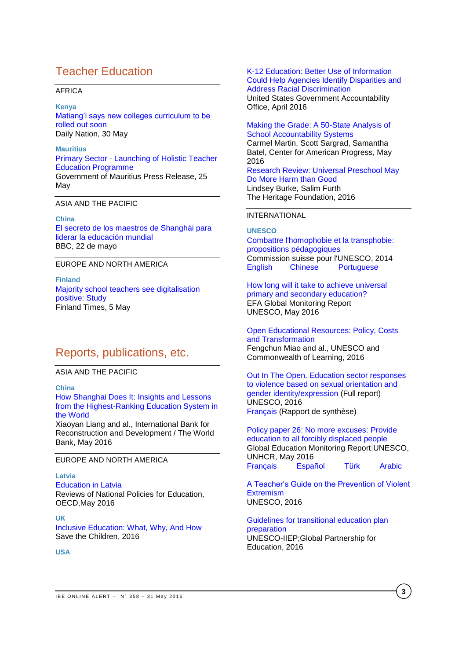# Teacher Education

### AFRICA

**Kenya**

[Matiang'i says new colleges curriculum to be](http://www.nation.co.ke/news/Matiang-i-says-New-curriculum-for-teacher-colleges-out-soon/-/1056/3224632/-/axs7i7z/-/index.html)  [rolled out soon](http://www.nation.co.ke/news/Matiang-i-says-New-curriculum-for-teacher-colleges-out-soon/-/1056/3224632/-/axs7i7z/-/index.html) Daily Nation, 30 May

**Mauritius** Primary Sector - [Launching of Holistic Teacher](http://allafrica.com/stories/201605250935.html)  [Education Programme](http://allafrica.com/stories/201605250935.html) Government of Mauritius Press Release, 25 **May** 

ASIA AND THE PACIFIC

**China** [El secreto de los maestros de Shanghái para](http://www.bbc.com/mundo/noticias/2016/05/160519_finde_sociedad_internacional_shanghai_china_educacion_evaluacion_mundial_ppb)  [liderar la educación mundial](http://www.bbc.com/mundo/noticias/2016/05/160519_finde_sociedad_internacional_shanghai_china_educacion_evaluacion_mundial_ppb) BBC, 22 de mayo

### EUROPE AND NORTH AMERICA

**Finland** [Majority school teachers see digitalisation](http://www.finlandtimes.fi/education/2016/05/05/26839/Majority-school-teachers-see-digitalisation-positive:-Study)  [positive: Study](http://www.finlandtimes.fi/education/2016/05/05/26839/Majority-school-teachers-see-digitalisation-positive:-Study) Finland Times, 5 May

## Reports, publications, etc.

ASIA AND THE PACIFIC

**China**

[How Shanghai Does It: Insights and Lessons](https://openknowledge.worldbank.org/bitstream/handle/10986/24000/9781464807909.pdf)  [from the Highest-Ranking Education System in](https://openknowledge.worldbank.org/bitstream/handle/10986/24000/9781464807909.pdf)  [the World](https://openknowledge.worldbank.org/bitstream/handle/10986/24000/9781464807909.pdf)

Xiaoyan Liang and al., International Bank for Reconstruction and Development / The World Bank, May 2016

### EUROPE AND NORTH AMERICA

### **Latvia**

[Education](http://www.oecd-ilibrary.org/education/education-in-latvia_9789264250628-en;jsessionid=1q75m114ogflf.x-oecd-live-03) in Latvia Reviews of National Policies for Education, OECD,May 2016

**UK**

[Inclusive Education: What, Why, And How](http://images.savethechildren.it/IT/f/img_pubblicazioni/img292_b.pdf) Save the Children, 2016

**USA**

### [K-12 Education: Better Use of Information](http://www.gao.gov/assets/680/676745.pdf)  [Could Help Agencies Identify Disparities and](http://www.gao.gov/assets/680/676745.pdf)  [Address Racial Discrimination](http://www.gao.gov/assets/680/676745.pdf)

United States Government Accountability Office, April 2016

[Making the Grade: A 50-State Analysis of](https://cdn.americanprogress.org/wp-content/uploads/2016/05/17094420/AccountabilityLandscape-report2.pdf)  [School Accountability Systems](https://cdn.americanprogress.org/wp-content/uploads/2016/05/17094420/AccountabilityLandscape-report2.pdf) Carmel Martin, Scott Sargrad, Samantha Batel, Center for American Progress, May

2016 [Research Review: Universal Preschool May](http://www.heritage.org/research/reports/2016/05/research-review-universal-preschool-may-do-more-harm-than-good) 

[Do More Harm than Good](http://www.heritage.org/research/reports/2016/05/research-review-universal-preschool-may-do-more-harm-than-good) Lindsey Burke, Salim Furth The Heritage Foundation, 2016

### INTERNATIONAL

### **UNESCO**

[Combattre l'homophobie et la transphobie:](http://unesdoc.unesco.org/images/0024/002448/244814f.pdf)  [propositions pédagogiques](http://unesdoc.unesco.org/images/0024/002448/244814f.pdf) Commission suisse pour l'UNESCO, 2014<br>English Chinese Portuguese **[Portuguese](http://unesdoc.unesco.org/images/0022/002286/228634por.pdf)** 

[How long will it take to achieve universal](http://unesdoc.unesco.org/images/0023/002330/233028E.pdf)  [primary and secondary education?](http://unesdoc.unesco.org/images/0023/002330/233028E.pdf) EFA Global Monitoring Report UNESCO, May 2016

[Open Educational Resources: Policy, Costs](http://unesdoc.unesco.org/images/0024/002443/244365e.pdf)  [and Transformation](http://unesdoc.unesco.org/images/0024/002443/244365e.pdf) Fengchun Miao and al., UNESCO and Commonwealth of Learning, 2016

[Out In The Open. Education sector responses](http://unesdoc.unesco.org/images/0024/002447/244756e.pdf)  [to violence based on sexual orientation and](http://unesdoc.unesco.org/images/0024/002447/244756e.pdf)  [gender identity/expression](http://unesdoc.unesco.org/images/0024/002447/244756e.pdf) (Full report) UNESCO, 2016 [Français](http://unesdoc.unesco.org/images/0024/002446/244652f.pdf) (Rapport de synthèse)

[Policy paper 26: No more excuses: Provide](http://unesdoc.unesco.org/images/0024/002448/244847E.pdf)  [education to all forcibly displaced people](http://unesdoc.unesco.org/images/0024/002448/244847E.pdf) Global Education Monitoring Report UNESCO, UNHCR, May 2016 [Français](http://unesdoc.unesco.org/images/0024/002448/244847F.pdf) [Español](http://unesdoc.unesco.org/images/0024/002448/244847S.pdf) [Türk](http://unesdoc.unesco.org/images/0024/002448/244847TUR.pdf) [Arabic](http://unesdoc.unesco.org/images/0024/002448/244847a.pdf)

[A Teacher's Guide on the Prevention of Violent](http://unesdoc.unesco.org/images/0024/002446/244676e.pdf)  **[Extremism](http://unesdoc.unesco.org/images/0024/002446/244676e.pdf)** UNESCO, 2016

[Guidelines for transitional education plan](http://unesdoc.unesco.org/images/0024/002449/244900e.pdf)  [preparation](http://unesdoc.unesco.org/images/0024/002449/244900e.pdf) UNESCO-IIEP;Global Partnership for Education, 2016